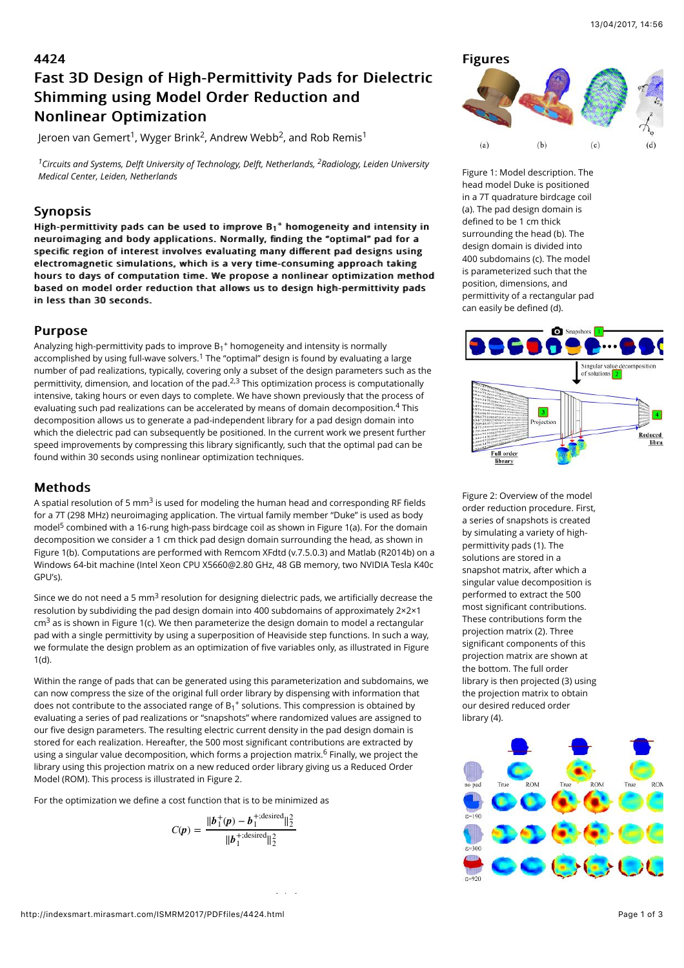# 4424 Fast 3D Design of High-Permittivity Pads for Dielectric Shimming using Model Order Reduction and **Nonlinear Optimization**

Jeroen van Gemert<sup>1</sup>, Wyger Brink<sup>2</sup>, Andrew Webb<sup>2</sup>, and Rob Remis<sup>1</sup>

 $^1$ Circuits and Systems, Delft University of Technology, Delft, Netherlands, <sup>2</sup>Radiology, Leiden University *Medical Center, Leiden, Netherlands*

## Synopsis

High-permittivity pads can be used to improve  $\mathsf{B_1}^+$  homogeneity and intensity in neuroimaging and body applications. Normally, finding the "optimal" pad for a specific region of interest involves evaluating many different pad designs using electromagnetic simulations, which is a very time-consuming approach taking hours to days of computation time. We propose a nonlinear optimization method based on model order reduction that allows us to design high-permittivity pads in less than 30 seconds.

### **Purpose**

Analyzing high-permittivity pads to improve  $B_1{}^+$  homogeneity and intensity is normally accomplished by using full-wave solvers.<sup>1</sup> The "optimal" design is found by evaluating a large number of pad realizations, typically, covering only a subset of the design parameters such as the permittivity, dimension, and location of the pad. $^{2,3}$  This optimization process is computationally intensive, taking hours or even days to complete. We have shown previously that the process of evaluating such pad realizations can be accelerated by means of domain decomposition. $^{\displaystyle{4}}$  This decomposition allows us to generate a pad-independent library for a pad design domain into which the dielectric pad can subsequently be positioned. In the current work we present further speed improvements by compressing this library significantly, such that the optimal pad can be found within 30 seconds using nonlinear optimization techniques.

### **Methods**

A spatial resolution of 5 mm<sup>3</sup> is used for modeling the human head and corresponding RF fields for a 7T (298 MHz) neuroimaging application. The virtual family member "Duke" is used as body model<sup>5</sup> combined with a 16-rung high-pass birdcage coil as shown in Figure 1(a). For the domain decomposition we consider a 1 cm thick pad design domain surrounding the head, as shown in Figure 1(b). Computations are performed with Remcom XFdtd (v.7.5.0.3) and Matlab (R2014b) on a Windows 64-bit machine (Intel Xeon CPU X5660@2.80 GHz, 48 GB memory, two NVIDIA Tesla K40c GPU's).

Since we do not need a 5 mm $^3$  resolution for designing dielectric pads, we artificially decrease the resolution by subdividing the pad design domain into 400 subdomains of approximately 2×2×1 cm $^3$  as is shown in Figure 1(c). We then parameterize the design domain to model a rectangular pad with a single permittivity by using a superposition of Heaviside step functions. In such a way, we formulate the design problem as an optimization of five variables only, as illustrated in Figure 1(d).

Within the range of pads that can be generated using this parameterization and subdomains, we can now compress the size of the original full order library by dispensing with information that does not contribute to the associated range of  $B_1{}^+$  solutions. This compression is obtained by evaluating a series of pad realizations or "snapshots" where randomized values are assigned to our five design parameters. The resulting electric current density in the pad design domain is stored for each realization. Hereafter, the 500 most significant contributions are extracted by using a singular value decomposition, which forms a projection matrix.<sup>6</sup> Finally, we project the library using this projection matrix on a new reduced order library giving us a Reduced Order Model (ROM). This process is illustrated in Figure 2.

For the optimization we define a cost function that is to be minimized as

$$
C(\mathbf{p}) = \frac{\|\mathbf{b}_1^+(\mathbf{p}) - \mathbf{b}_1^{+;\text{desired}}\|_2^2}{\|\mathbf{b}_1^{+;\text{desired}}\|_2^2}
$$

 $\mathcal{H}=\{x\in\mathbb{R}^d\mid x\in\mathbb{R}^d\mid x\in\mathbb{R}^d\mid x\in\mathbb{R}^d\mid x\in\mathbb{R}^d\mid x\in\mathbb{R}^d\mid x\in\mathbb{R}^d\mid x\in\mathbb{R}^d\mid x\in\mathbb{R}^d\mid x\in\mathbb{R}^d\mid x\in\mathbb{R}^d\mid x\in\mathbb{R}^d\mid x\in\mathbb{R}^d\mid x\in\mathbb{R}^d\mid x\in\mathbb{R}^d\mid x\in\mathbb{R}^d\mid x\in\$ 



Figure 1: Model description. The head model Duke is positioned in a 7T quadrature birdcage coil (a). The pad design domain is defined to be 1 cm thick surrounding the head (b). The design domain is divided into 400 subdomains (c). The model is parameterized such that the position, dimensions, and permittivity of a rectangular pad can easily be defined (d).



Figure 2: Overview of the model order reduction procedure. First, a series of snapshots is created by simulating a variety of highpermittivity pads (1). The solutions are stored in a snapshot matrix, after which a singular value decomposition is performed to extract the 500 most significant contributions. These contributions form the projection matrix (2). Three significant components of this projection matrix are shown at the bottom. The full order library is then projected (3) using the projection matrix to obtain our desired reduced order library (4).

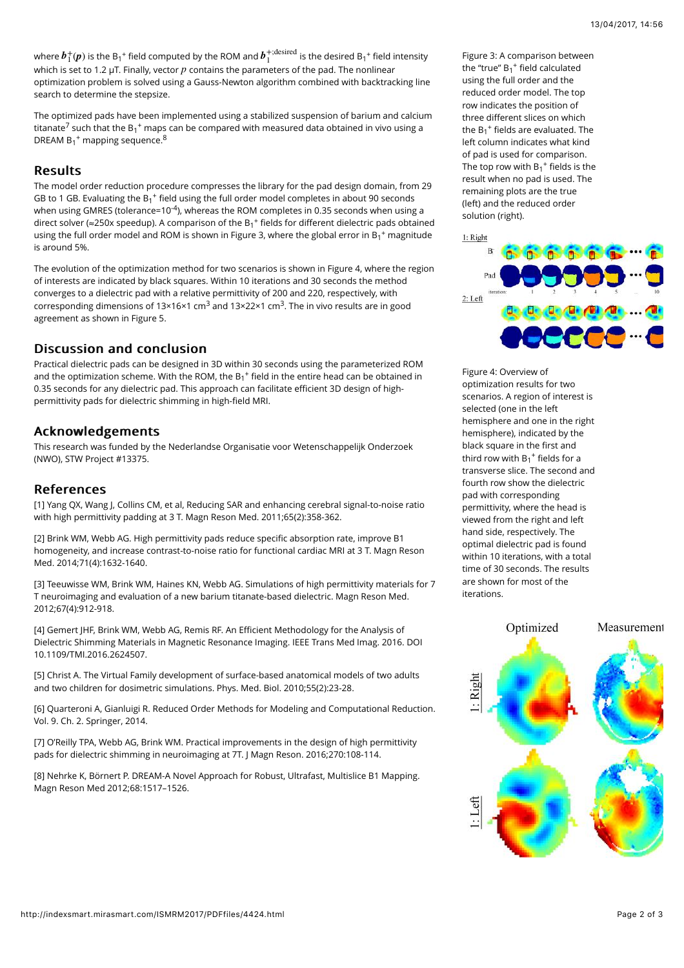where  $\bm{b}_1^+(\bm{p})$  is the B $_1^+$  field computed by the ROM and  $\bm{b}_1^{+;\rm desired}$  is the desired B $_1^+$  field intensity which is set to 1.2  $\mu$ T. Finally, vector  $p$  contains the parameters of the pad. The nonlinear optimization problem is solved using a Gauss-Newton algorithm combined with backtracking line search to determine the stepsize.

The optimized pads have been implemented using a stabilized suspension of barium and calcium titanate<sup>7</sup> such that the B $_1^+$  maps can be compared with measured data obtained in vivo using a DREAM  $B_1$ <sup>+</sup> mapping sequence.<sup>8</sup>

## **Results**

The model order reduction procedure compresses the library for the pad design domain, from 29 GB to 1 GB. Evaluating the  $B_1$ <sup>+</sup> field using the full order model completes in about 90 seconds when using GMRES (tolerance=10<sup>-4</sup>), whereas the ROM completes in 0.35 seconds when using a direct solver (≈250x speedup). A comparison of the  $B_1^+$  fields for different dielectric pads obtained using the full order model and ROM is shown in Figure 3, where the global error in B<sub>1</sub><sup>+</sup> magnitude is around 5%.

The evolution of the optimization method for two scenarios is shown in Figure 4, where the region of interests are indicated by black squares. Within 10 iterations and 30 seconds the method converges to a dielectric pad with a relative permittivity of 200 and 220, respectively, with corresponding dimensions of 13×16×1 cm<sup>3</sup> and 13×22×1 cm<sup>3</sup>. The in vivo results are in good agreement as shown in Figure 5.

### Discussion and conclusion

Practical dielectric pads can be designed in 3D within 30 seconds using the parameterized ROM and the optimization scheme. With the ROM, the  $B_1^+$  field in the entire head can be obtained in 0.35 seconds for any dielectric pad. This approach can facilitate efficient 3D design of highpermittivity pads for dielectric shimming in high-field MRI.

## Acknowledgements Acknowledgements

This research was funded by the Nederlandse Organisatie voor Wetenschappelijk Onderzoek (NWO), STW Project #13375.

#### **References**

[1] Yang QX, Wang J, Collins CM, et al, Reducing SAR and enhancing cerebral signal-to-noise ratio with high permittivity padding at 3 T. Magn Reson Med. 2011;65(2):358-362.

[2] Brink WM, Webb AG. High permittivity pads reduce specific absorption rate, improve B1 homogeneity, and increase contrast-to-noise ratio for functional cardiac MRI at 3 T. Magn Reson Med. 2014;71(4):1632-1640.

[3] Teeuwisse WM, Brink WM, Haines KN, Webb AG. Simulations of high permittivity materials for 7 T neuroimaging and evaluation of a new barium titanate-based dielectric. Magn Reson Med. 2012;67(4):912-918.

[4] Gemert JHF, Brink WM, Webb AG, Remis RF. An Efficient Methodology for the Analysis of Dielectric Shimming Materials in Magnetic Resonance Imaging. IEEE Trans Med Imag. 2016. DOI 10.1109/TMI.2016.2624507.

[5] Christ A. The Virtual Family development of surface-based anatomical models of two adults and two children for dosimetric simulations. Phys. Med. Biol. 2010;55(2):23-28.

[6] Quarteroni A, Gianluigi R. Reduced Order Methods for Modeling and Computational Reduction. Vol. 9. Ch. 2. Springer, 2014.

[7] O'Reilly TPA, Webb AG, Brink WM. Practical improvements in the design of high permittivity pads for dielectric shimming in neuroimaging at 7T. J Magn Reson. 2016;270:108-114.

[8] Nehrke K, Börnert P. DREAM-A Novel Approach for Robust, Ultrafast, Multislice B1 Mapping. Magn Reson Med 2012;68:1517–1526.

Figure 3: A comparison between the "true"  $B_1$ <sup>+</sup> field calculated using the full order and the reduced order model. The top row indicates the position of three different slices on which the  $B_1^+$  fields are evaluated. The left column indicates what kind of pad is used for comparison. The top row with  $B_1^+$  fields is the result when no pad is used. The remaining plots are the true (left) and the reduced order solution (right).



Figure 4: Overview of optimization results for two scenarios. A region of interest is selected (one in the left hemisphere and one in the right hemisphere), indicated by the black square in the first and third row with  $B_1^+$  fields for a transverse slice. The second and fourth row show the dielectric pad with corresponding permittivity, where the head is viewed from the right and left hand side, respectively. The optimal dielectric pad is found within 10 iterations, with a total time of 30 seconds. The results are shown for most of the iterations.